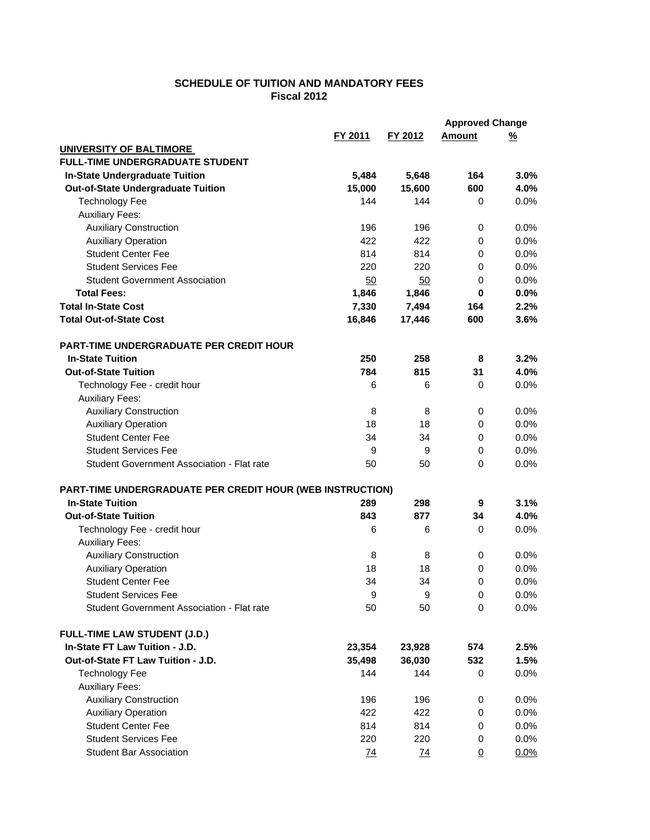## **SCHEDULE OF TUITION AND MANDATORY FEES Fiscal 2012**

| FY 2011<br>FY 2012<br>Amount<br><u>%</u><br>UNIVERSITY OF BALTIMORE<br><b>FULL-TIME UNDERGRADUATE STUDENT</b><br>3.0%<br><b>In-State Undergraduate Tuition</b><br>5,484<br>5,648<br>164<br>Out-of-State Undergraduate Tuition<br>15,000<br>15,600<br>600<br>4.0%<br><b>Technology Fee</b><br>144<br>144<br>0.0%<br>0<br><b>Auxiliary Fees:</b><br><b>Auxiliary Construction</b><br>0.0%<br>196<br>196<br>0<br><b>Auxiliary Operation</b><br>422<br>422<br>0.0%<br>0<br><b>Student Center Fee</b><br>814<br>814<br>0.0%<br>0<br><b>Student Services Fee</b><br>220<br>220<br>0.0%<br>0<br><b>Student Government Association</b><br>0.0%<br>50<br>50<br>0<br><b>Total Fees:</b><br>1,846<br>0.0%<br>1,846<br>0<br><b>Total In-State Cost</b><br>2.2%<br>7,330<br>7,494<br>164<br><b>Total Out-of-State Cost</b><br>16,846<br>17,446<br>600<br>3.6%<br><b>PART-TIME UNDERGRADUATE PER CREDIT HOUR</b><br>3.2%<br><b>In-State Tuition</b><br>250<br>258<br>8<br><b>Out-of-State Tuition</b><br>784<br>815<br>4.0%<br>31<br>Technology Fee - credit hour<br>6<br>0.0%<br>6<br>0<br><b>Auxiliary Fees:</b><br><b>Auxiliary Construction</b><br>8<br>0.0%<br>8<br>0<br><b>Auxiliary Operation</b><br>18<br>18<br>$\mathbf 0$<br>0.0%<br><b>Student Center Fee</b><br>0.0%<br>34<br>34<br>0<br><b>Student Services Fee</b><br>9<br>$\mathbf 0$<br>0.0%<br>9<br>Student Government Association - Flat rate<br>50<br>50<br>$\Omega$<br>0.0%<br>PART-TIME UNDERGRADUATE PER CREDIT HOUR (WEB INSTRUCTION)<br><b>In-State Tuition</b><br>289<br>3.1%<br>298<br>9<br><b>Out-of-State Tuition</b><br>843<br>877<br>4.0%<br>34<br>0.0%<br>Technology Fee - credit hour<br>6<br>6<br>0<br><b>Auxiliary Fees:</b><br><b>Auxiliary Construction</b><br>0.0%<br>8<br>0<br>8<br><b>Auxiliary Operation</b><br>0.0%<br>18<br>18<br>0<br><b>Student Center Fee</b><br>0.0%<br>34<br>34<br>$\mathbf 0$<br><b>Student Services Fee</b><br>9<br>9<br>0<br>$0.0\%$<br>Student Government Association - Flat rate<br>50<br>50<br>$\mathbf 0$<br>0.0%<br><b>FULL-TIME LAW STUDENT (J.D.)</b><br>In-State FT Law Tuition - J.D.<br>574<br>2.5%<br>23,354<br>23,928<br>Out-of-State FT Law Tuition - J.D.<br>35,498<br>36,030<br>532<br>1.5%<br><b>Technology Fee</b><br>144<br>144<br>0<br>$0.0\%$<br><b>Auxiliary Fees:</b><br><b>Auxiliary Construction</b><br>196<br>196<br>0.0%<br>0<br><b>Auxiliary Operation</b><br>422<br>422<br>0.0%<br>0<br><b>Student Center Fee</b><br>814<br>814<br>0.0%<br>0<br><b>Student Services Fee</b><br>220<br>220<br>0.0%<br>0<br><b>Student Bar Association</b><br>74<br>74<br>0.0%<br>$\Omega$ |  |  | <b>Approved Change</b> |  |
|----------------------------------------------------------------------------------------------------------------------------------------------------------------------------------------------------------------------------------------------------------------------------------------------------------------------------------------------------------------------------------------------------------------------------------------------------------------------------------------------------------------------------------------------------------------------------------------------------------------------------------------------------------------------------------------------------------------------------------------------------------------------------------------------------------------------------------------------------------------------------------------------------------------------------------------------------------------------------------------------------------------------------------------------------------------------------------------------------------------------------------------------------------------------------------------------------------------------------------------------------------------------------------------------------------------------------------------------------------------------------------------------------------------------------------------------------------------------------------------------------------------------------------------------------------------------------------------------------------------------------------------------------------------------------------------------------------------------------------------------------------------------------------------------------------------------------------------------------------------------------------------------------------------------------------------------------------------------------------------------------------------------------------------------------------------------------------------------------------------------------------------------------------------------------------------------------------------------------------------------------------------------------------------------------------------------------------------------------------------------------------------------------------------------------------------------------------------------------------------------------------------------------------------------------------------------------------------------------------|--|--|------------------------|--|
|                                                                                                                                                                                                                                                                                                                                                                                                                                                                                                                                                                                                                                                                                                                                                                                                                                                                                                                                                                                                                                                                                                                                                                                                                                                                                                                                                                                                                                                                                                                                                                                                                                                                                                                                                                                                                                                                                                                                                                                                                                                                                                                                                                                                                                                                                                                                                                                                                                                                                                                                                                                                          |  |  |                        |  |
|                                                                                                                                                                                                                                                                                                                                                                                                                                                                                                                                                                                                                                                                                                                                                                                                                                                                                                                                                                                                                                                                                                                                                                                                                                                                                                                                                                                                                                                                                                                                                                                                                                                                                                                                                                                                                                                                                                                                                                                                                                                                                                                                                                                                                                                                                                                                                                                                                                                                                                                                                                                                          |  |  |                        |  |
|                                                                                                                                                                                                                                                                                                                                                                                                                                                                                                                                                                                                                                                                                                                                                                                                                                                                                                                                                                                                                                                                                                                                                                                                                                                                                                                                                                                                                                                                                                                                                                                                                                                                                                                                                                                                                                                                                                                                                                                                                                                                                                                                                                                                                                                                                                                                                                                                                                                                                                                                                                                                          |  |  |                        |  |
|                                                                                                                                                                                                                                                                                                                                                                                                                                                                                                                                                                                                                                                                                                                                                                                                                                                                                                                                                                                                                                                                                                                                                                                                                                                                                                                                                                                                                                                                                                                                                                                                                                                                                                                                                                                                                                                                                                                                                                                                                                                                                                                                                                                                                                                                                                                                                                                                                                                                                                                                                                                                          |  |  |                        |  |
|                                                                                                                                                                                                                                                                                                                                                                                                                                                                                                                                                                                                                                                                                                                                                                                                                                                                                                                                                                                                                                                                                                                                                                                                                                                                                                                                                                                                                                                                                                                                                                                                                                                                                                                                                                                                                                                                                                                                                                                                                                                                                                                                                                                                                                                                                                                                                                                                                                                                                                                                                                                                          |  |  |                        |  |
|                                                                                                                                                                                                                                                                                                                                                                                                                                                                                                                                                                                                                                                                                                                                                                                                                                                                                                                                                                                                                                                                                                                                                                                                                                                                                                                                                                                                                                                                                                                                                                                                                                                                                                                                                                                                                                                                                                                                                                                                                                                                                                                                                                                                                                                                                                                                                                                                                                                                                                                                                                                                          |  |  |                        |  |
|                                                                                                                                                                                                                                                                                                                                                                                                                                                                                                                                                                                                                                                                                                                                                                                                                                                                                                                                                                                                                                                                                                                                                                                                                                                                                                                                                                                                                                                                                                                                                                                                                                                                                                                                                                                                                                                                                                                                                                                                                                                                                                                                                                                                                                                                                                                                                                                                                                                                                                                                                                                                          |  |  |                        |  |
|                                                                                                                                                                                                                                                                                                                                                                                                                                                                                                                                                                                                                                                                                                                                                                                                                                                                                                                                                                                                                                                                                                                                                                                                                                                                                                                                                                                                                                                                                                                                                                                                                                                                                                                                                                                                                                                                                                                                                                                                                                                                                                                                                                                                                                                                                                                                                                                                                                                                                                                                                                                                          |  |  |                        |  |
|                                                                                                                                                                                                                                                                                                                                                                                                                                                                                                                                                                                                                                                                                                                                                                                                                                                                                                                                                                                                                                                                                                                                                                                                                                                                                                                                                                                                                                                                                                                                                                                                                                                                                                                                                                                                                                                                                                                                                                                                                                                                                                                                                                                                                                                                                                                                                                                                                                                                                                                                                                                                          |  |  |                        |  |
|                                                                                                                                                                                                                                                                                                                                                                                                                                                                                                                                                                                                                                                                                                                                                                                                                                                                                                                                                                                                                                                                                                                                                                                                                                                                                                                                                                                                                                                                                                                                                                                                                                                                                                                                                                                                                                                                                                                                                                                                                                                                                                                                                                                                                                                                                                                                                                                                                                                                                                                                                                                                          |  |  |                        |  |
|                                                                                                                                                                                                                                                                                                                                                                                                                                                                                                                                                                                                                                                                                                                                                                                                                                                                                                                                                                                                                                                                                                                                                                                                                                                                                                                                                                                                                                                                                                                                                                                                                                                                                                                                                                                                                                                                                                                                                                                                                                                                                                                                                                                                                                                                                                                                                                                                                                                                                                                                                                                                          |  |  |                        |  |
|                                                                                                                                                                                                                                                                                                                                                                                                                                                                                                                                                                                                                                                                                                                                                                                                                                                                                                                                                                                                                                                                                                                                                                                                                                                                                                                                                                                                                                                                                                                                                                                                                                                                                                                                                                                                                                                                                                                                                                                                                                                                                                                                                                                                                                                                                                                                                                                                                                                                                                                                                                                                          |  |  |                        |  |
|                                                                                                                                                                                                                                                                                                                                                                                                                                                                                                                                                                                                                                                                                                                                                                                                                                                                                                                                                                                                                                                                                                                                                                                                                                                                                                                                                                                                                                                                                                                                                                                                                                                                                                                                                                                                                                                                                                                                                                                                                                                                                                                                                                                                                                                                                                                                                                                                                                                                                                                                                                                                          |  |  |                        |  |
|                                                                                                                                                                                                                                                                                                                                                                                                                                                                                                                                                                                                                                                                                                                                                                                                                                                                                                                                                                                                                                                                                                                                                                                                                                                                                                                                                                                                                                                                                                                                                                                                                                                                                                                                                                                                                                                                                                                                                                                                                                                                                                                                                                                                                                                                                                                                                                                                                                                                                                                                                                                                          |  |  |                        |  |
|                                                                                                                                                                                                                                                                                                                                                                                                                                                                                                                                                                                                                                                                                                                                                                                                                                                                                                                                                                                                                                                                                                                                                                                                                                                                                                                                                                                                                                                                                                                                                                                                                                                                                                                                                                                                                                                                                                                                                                                                                                                                                                                                                                                                                                                                                                                                                                                                                                                                                                                                                                                                          |  |  |                        |  |
|                                                                                                                                                                                                                                                                                                                                                                                                                                                                                                                                                                                                                                                                                                                                                                                                                                                                                                                                                                                                                                                                                                                                                                                                                                                                                                                                                                                                                                                                                                                                                                                                                                                                                                                                                                                                                                                                                                                                                                                                                                                                                                                                                                                                                                                                                                                                                                                                                                                                                                                                                                                                          |  |  |                        |  |
|                                                                                                                                                                                                                                                                                                                                                                                                                                                                                                                                                                                                                                                                                                                                                                                                                                                                                                                                                                                                                                                                                                                                                                                                                                                                                                                                                                                                                                                                                                                                                                                                                                                                                                                                                                                                                                                                                                                                                                                                                                                                                                                                                                                                                                                                                                                                                                                                                                                                                                                                                                                                          |  |  |                        |  |
|                                                                                                                                                                                                                                                                                                                                                                                                                                                                                                                                                                                                                                                                                                                                                                                                                                                                                                                                                                                                                                                                                                                                                                                                                                                                                                                                                                                                                                                                                                                                                                                                                                                                                                                                                                                                                                                                                                                                                                                                                                                                                                                                                                                                                                                                                                                                                                                                                                                                                                                                                                                                          |  |  |                        |  |
|                                                                                                                                                                                                                                                                                                                                                                                                                                                                                                                                                                                                                                                                                                                                                                                                                                                                                                                                                                                                                                                                                                                                                                                                                                                                                                                                                                                                                                                                                                                                                                                                                                                                                                                                                                                                                                                                                                                                                                                                                                                                                                                                                                                                                                                                                                                                                                                                                                                                                                                                                                                                          |  |  |                        |  |
|                                                                                                                                                                                                                                                                                                                                                                                                                                                                                                                                                                                                                                                                                                                                                                                                                                                                                                                                                                                                                                                                                                                                                                                                                                                                                                                                                                                                                                                                                                                                                                                                                                                                                                                                                                                                                                                                                                                                                                                                                                                                                                                                                                                                                                                                                                                                                                                                                                                                                                                                                                                                          |  |  |                        |  |
|                                                                                                                                                                                                                                                                                                                                                                                                                                                                                                                                                                                                                                                                                                                                                                                                                                                                                                                                                                                                                                                                                                                                                                                                                                                                                                                                                                                                                                                                                                                                                                                                                                                                                                                                                                                                                                                                                                                                                                                                                                                                                                                                                                                                                                                                                                                                                                                                                                                                                                                                                                                                          |  |  |                        |  |
|                                                                                                                                                                                                                                                                                                                                                                                                                                                                                                                                                                                                                                                                                                                                                                                                                                                                                                                                                                                                                                                                                                                                                                                                                                                                                                                                                                                                                                                                                                                                                                                                                                                                                                                                                                                                                                                                                                                                                                                                                                                                                                                                                                                                                                                                                                                                                                                                                                                                                                                                                                                                          |  |  |                        |  |
|                                                                                                                                                                                                                                                                                                                                                                                                                                                                                                                                                                                                                                                                                                                                                                                                                                                                                                                                                                                                                                                                                                                                                                                                                                                                                                                                                                                                                                                                                                                                                                                                                                                                                                                                                                                                                                                                                                                                                                                                                                                                                                                                                                                                                                                                                                                                                                                                                                                                                                                                                                                                          |  |  |                        |  |
|                                                                                                                                                                                                                                                                                                                                                                                                                                                                                                                                                                                                                                                                                                                                                                                                                                                                                                                                                                                                                                                                                                                                                                                                                                                                                                                                                                                                                                                                                                                                                                                                                                                                                                                                                                                                                                                                                                                                                                                                                                                                                                                                                                                                                                                                                                                                                                                                                                                                                                                                                                                                          |  |  |                        |  |
|                                                                                                                                                                                                                                                                                                                                                                                                                                                                                                                                                                                                                                                                                                                                                                                                                                                                                                                                                                                                                                                                                                                                                                                                                                                                                                                                                                                                                                                                                                                                                                                                                                                                                                                                                                                                                                                                                                                                                                                                                                                                                                                                                                                                                                                                                                                                                                                                                                                                                                                                                                                                          |  |  |                        |  |
|                                                                                                                                                                                                                                                                                                                                                                                                                                                                                                                                                                                                                                                                                                                                                                                                                                                                                                                                                                                                                                                                                                                                                                                                                                                                                                                                                                                                                                                                                                                                                                                                                                                                                                                                                                                                                                                                                                                                                                                                                                                                                                                                                                                                                                                                                                                                                                                                                                                                                                                                                                                                          |  |  |                        |  |
|                                                                                                                                                                                                                                                                                                                                                                                                                                                                                                                                                                                                                                                                                                                                                                                                                                                                                                                                                                                                                                                                                                                                                                                                                                                                                                                                                                                                                                                                                                                                                                                                                                                                                                                                                                                                                                                                                                                                                                                                                                                                                                                                                                                                                                                                                                                                                                                                                                                                                                                                                                                                          |  |  |                        |  |
|                                                                                                                                                                                                                                                                                                                                                                                                                                                                                                                                                                                                                                                                                                                                                                                                                                                                                                                                                                                                                                                                                                                                                                                                                                                                                                                                                                                                                                                                                                                                                                                                                                                                                                                                                                                                                                                                                                                                                                                                                                                                                                                                                                                                                                                                                                                                                                                                                                                                                                                                                                                                          |  |  |                        |  |
|                                                                                                                                                                                                                                                                                                                                                                                                                                                                                                                                                                                                                                                                                                                                                                                                                                                                                                                                                                                                                                                                                                                                                                                                                                                                                                                                                                                                                                                                                                                                                                                                                                                                                                                                                                                                                                                                                                                                                                                                                                                                                                                                                                                                                                                                                                                                                                                                                                                                                                                                                                                                          |  |  |                        |  |
|                                                                                                                                                                                                                                                                                                                                                                                                                                                                                                                                                                                                                                                                                                                                                                                                                                                                                                                                                                                                                                                                                                                                                                                                                                                                                                                                                                                                                                                                                                                                                                                                                                                                                                                                                                                                                                                                                                                                                                                                                                                                                                                                                                                                                                                                                                                                                                                                                                                                                                                                                                                                          |  |  |                        |  |
|                                                                                                                                                                                                                                                                                                                                                                                                                                                                                                                                                                                                                                                                                                                                                                                                                                                                                                                                                                                                                                                                                                                                                                                                                                                                                                                                                                                                                                                                                                                                                                                                                                                                                                                                                                                                                                                                                                                                                                                                                                                                                                                                                                                                                                                                                                                                                                                                                                                                                                                                                                                                          |  |  |                        |  |
|                                                                                                                                                                                                                                                                                                                                                                                                                                                                                                                                                                                                                                                                                                                                                                                                                                                                                                                                                                                                                                                                                                                                                                                                                                                                                                                                                                                                                                                                                                                                                                                                                                                                                                                                                                                                                                                                                                                                                                                                                                                                                                                                                                                                                                                                                                                                                                                                                                                                                                                                                                                                          |  |  |                        |  |
|                                                                                                                                                                                                                                                                                                                                                                                                                                                                                                                                                                                                                                                                                                                                                                                                                                                                                                                                                                                                                                                                                                                                                                                                                                                                                                                                                                                                                                                                                                                                                                                                                                                                                                                                                                                                                                                                                                                                                                                                                                                                                                                                                                                                                                                                                                                                                                                                                                                                                                                                                                                                          |  |  |                        |  |
|                                                                                                                                                                                                                                                                                                                                                                                                                                                                                                                                                                                                                                                                                                                                                                                                                                                                                                                                                                                                                                                                                                                                                                                                                                                                                                                                                                                                                                                                                                                                                                                                                                                                                                                                                                                                                                                                                                                                                                                                                                                                                                                                                                                                                                                                                                                                                                                                                                                                                                                                                                                                          |  |  |                        |  |
|                                                                                                                                                                                                                                                                                                                                                                                                                                                                                                                                                                                                                                                                                                                                                                                                                                                                                                                                                                                                                                                                                                                                                                                                                                                                                                                                                                                                                                                                                                                                                                                                                                                                                                                                                                                                                                                                                                                                                                                                                                                                                                                                                                                                                                                                                                                                                                                                                                                                                                                                                                                                          |  |  |                        |  |
|                                                                                                                                                                                                                                                                                                                                                                                                                                                                                                                                                                                                                                                                                                                                                                                                                                                                                                                                                                                                                                                                                                                                                                                                                                                                                                                                                                                                                                                                                                                                                                                                                                                                                                                                                                                                                                                                                                                                                                                                                                                                                                                                                                                                                                                                                                                                                                                                                                                                                                                                                                                                          |  |  |                        |  |
|                                                                                                                                                                                                                                                                                                                                                                                                                                                                                                                                                                                                                                                                                                                                                                                                                                                                                                                                                                                                                                                                                                                                                                                                                                                                                                                                                                                                                                                                                                                                                                                                                                                                                                                                                                                                                                                                                                                                                                                                                                                                                                                                                                                                                                                                                                                                                                                                                                                                                                                                                                                                          |  |  |                        |  |
|                                                                                                                                                                                                                                                                                                                                                                                                                                                                                                                                                                                                                                                                                                                                                                                                                                                                                                                                                                                                                                                                                                                                                                                                                                                                                                                                                                                                                                                                                                                                                                                                                                                                                                                                                                                                                                                                                                                                                                                                                                                                                                                                                                                                                                                                                                                                                                                                                                                                                                                                                                                                          |  |  |                        |  |
|                                                                                                                                                                                                                                                                                                                                                                                                                                                                                                                                                                                                                                                                                                                                                                                                                                                                                                                                                                                                                                                                                                                                                                                                                                                                                                                                                                                                                                                                                                                                                                                                                                                                                                                                                                                                                                                                                                                                                                                                                                                                                                                                                                                                                                                                                                                                                                                                                                                                                                                                                                                                          |  |  |                        |  |
|                                                                                                                                                                                                                                                                                                                                                                                                                                                                                                                                                                                                                                                                                                                                                                                                                                                                                                                                                                                                                                                                                                                                                                                                                                                                                                                                                                                                                                                                                                                                                                                                                                                                                                                                                                                                                                                                                                                                                                                                                                                                                                                                                                                                                                                                                                                                                                                                                                                                                                                                                                                                          |  |  |                        |  |
|                                                                                                                                                                                                                                                                                                                                                                                                                                                                                                                                                                                                                                                                                                                                                                                                                                                                                                                                                                                                                                                                                                                                                                                                                                                                                                                                                                                                                                                                                                                                                                                                                                                                                                                                                                                                                                                                                                                                                                                                                                                                                                                                                                                                                                                                                                                                                                                                                                                                                                                                                                                                          |  |  |                        |  |
|                                                                                                                                                                                                                                                                                                                                                                                                                                                                                                                                                                                                                                                                                                                                                                                                                                                                                                                                                                                                                                                                                                                                                                                                                                                                                                                                                                                                                                                                                                                                                                                                                                                                                                                                                                                                                                                                                                                                                                                                                                                                                                                                                                                                                                                                                                                                                                                                                                                                                                                                                                                                          |  |  |                        |  |
|                                                                                                                                                                                                                                                                                                                                                                                                                                                                                                                                                                                                                                                                                                                                                                                                                                                                                                                                                                                                                                                                                                                                                                                                                                                                                                                                                                                                                                                                                                                                                                                                                                                                                                                                                                                                                                                                                                                                                                                                                                                                                                                                                                                                                                                                                                                                                                                                                                                                                                                                                                                                          |  |  |                        |  |
|                                                                                                                                                                                                                                                                                                                                                                                                                                                                                                                                                                                                                                                                                                                                                                                                                                                                                                                                                                                                                                                                                                                                                                                                                                                                                                                                                                                                                                                                                                                                                                                                                                                                                                                                                                                                                                                                                                                                                                                                                                                                                                                                                                                                                                                                                                                                                                                                                                                                                                                                                                                                          |  |  |                        |  |
|                                                                                                                                                                                                                                                                                                                                                                                                                                                                                                                                                                                                                                                                                                                                                                                                                                                                                                                                                                                                                                                                                                                                                                                                                                                                                                                                                                                                                                                                                                                                                                                                                                                                                                                                                                                                                                                                                                                                                                                                                                                                                                                                                                                                                                                                                                                                                                                                                                                                                                                                                                                                          |  |  |                        |  |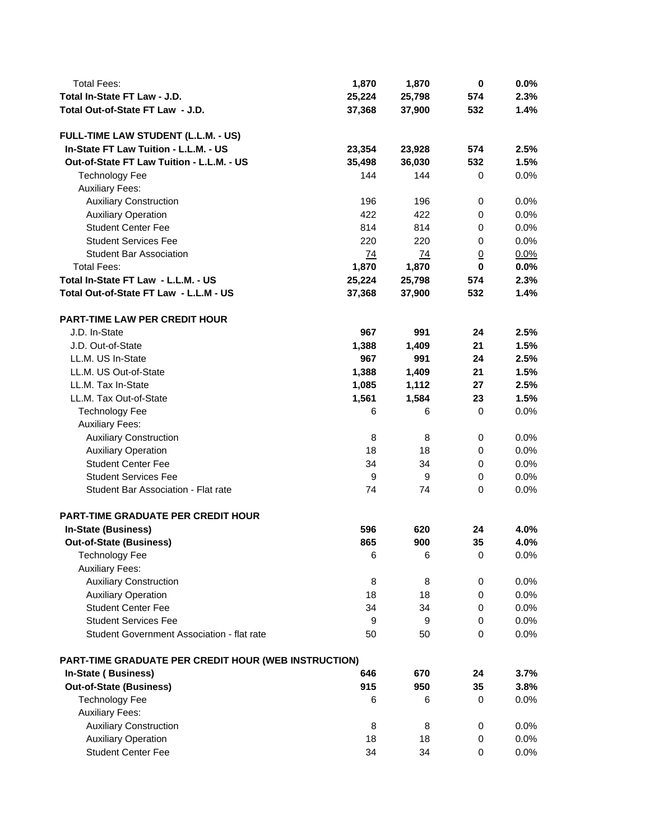| <b>Total Fees:</b>                                   | 1,870           | 1,870  | 0              | 0.0% |
|------------------------------------------------------|-----------------|--------|----------------|------|
| Total In-State FT Law - J.D.                         | 25,224          | 25,798 | 574            | 2.3% |
| Total Out-of-State FT Law - J.D.                     | 37,368          | 37,900 | 532            | 1.4% |
|                                                      |                 |        |                |      |
| FULL-TIME LAW STUDENT (L.L.M. - US)                  |                 |        |                |      |
| In-State FT Law Tuition - L.L.M. - US                | 23,354          | 23,928 | 574            | 2.5% |
| Out-of-State FT Law Tuition - L.L.M. - US            | 35,498          | 36,030 | 532            | 1.5% |
| <b>Technology Fee</b>                                | 144             | 144    | 0              | 0.0% |
| <b>Auxiliary Fees:</b>                               |                 |        |                |      |
| <b>Auxiliary Construction</b>                        | 196             | 196    | $\pmb{0}$      | 0.0% |
| <b>Auxiliary Operation</b>                           | 422             | 422    | 0              | 0.0% |
| <b>Student Center Fee</b>                            | 814             | 814    | 0              | 0.0% |
| <b>Student Services Fee</b>                          | 220             | 220    | 0              | 0.0% |
| <b>Student Bar Association</b>                       | $\overline{74}$ | 74     | $\overline{0}$ | 0.0% |
| <b>Total Fees:</b>                                   | 1,870           | 1,870  | $\bf{0}$       | 0.0% |
| Total In-State FT Law - L.L.M. - US                  | 25,224          | 25,798 | 574            | 2.3% |
| Total Out-of-State FT Law - L.L.M - US               |                 | 37,900 |                |      |
|                                                      | 37,368          |        | 532            | 1.4% |
| <b>PART-TIME LAW PER CREDIT HOUR</b>                 |                 |        |                |      |
|                                                      |                 |        |                |      |
| J.D. In-State                                        | 967             | 991    | 24             | 2.5% |
| J.D. Out-of-State                                    | 1,388           | 1,409  | 21             | 1.5% |
| LL.M. US In-State                                    | 967             | 991    | 24             | 2.5% |
| LL.M. US Out-of-State                                | 1,388           | 1,409  | 21             | 1.5% |
| LL.M. Tax In-State                                   | 1,085           | 1,112  | 27             | 2.5% |
| LL.M. Tax Out-of-State                               | 1,561           | 1,584  | 23             | 1.5% |
| <b>Technology Fee</b>                                | 6               | 6      | $\mathbf 0$    | 0.0% |
| <b>Auxiliary Fees:</b>                               |                 |        |                |      |
| <b>Auxiliary Construction</b>                        | 8               | 8      | 0              | 0.0% |
| <b>Auxiliary Operation</b>                           | 18              | 18     | 0              | 0.0% |
| <b>Student Center Fee</b>                            | 34              | 34     | 0              | 0.0% |
| <b>Student Services Fee</b>                          | 9               | 9      | 0              | 0.0% |
| Student Bar Association - Flat rate                  | 74              | 74     | 0              | 0.0% |
|                                                      |                 |        |                |      |
| <b>PART-TIME GRADUATE PER CREDIT HOUR</b>            |                 |        |                |      |
| In-State (Business)                                  | 596             | 620    | 24             | 4.0% |
| <b>Out-of-State (Business)</b>                       | 865             | 900    | 35             | 4.0% |
| <b>Technology Fee</b>                                | 6               | 6      | 0              | 0.0% |
| <b>Auxiliary Fees:</b>                               |                 |        |                |      |
| <b>Auxiliary Construction</b>                        | 8               | 8      | 0              | 0.0% |
| <b>Auxiliary Operation</b>                           | 18              | 18     | $\mathbf 0$    | 0.0% |
| <b>Student Center Fee</b>                            | 34              | 34     | 0              | 0.0% |
| <b>Student Services Fee</b>                          | 9               | 9      | 0              | 0.0% |
| Student Government Association - flat rate           | 50              | 50     | $\mathbf 0$    | 0.0% |
|                                                      |                 |        |                |      |
| PART-TIME GRADUATE PER CREDIT HOUR (WEB INSTRUCTION) |                 |        |                |      |
| <b>In-State (Business)</b>                           | 646             | 670    | 24             | 3.7% |
| <b>Out-of-State (Business)</b>                       | 915             | 950    | 35             | 3.8% |
| <b>Technology Fee</b>                                | 6               | 6      | 0              | 0.0% |
| <b>Auxiliary Fees:</b>                               |                 |        |                |      |
| <b>Auxiliary Construction</b>                        | 8               | 8      | 0              | 0.0% |
| <b>Auxiliary Operation</b>                           | 18              | 18     | 0              | 0.0% |
| <b>Student Center Fee</b>                            | 34              | 34     | 0              | 0.0% |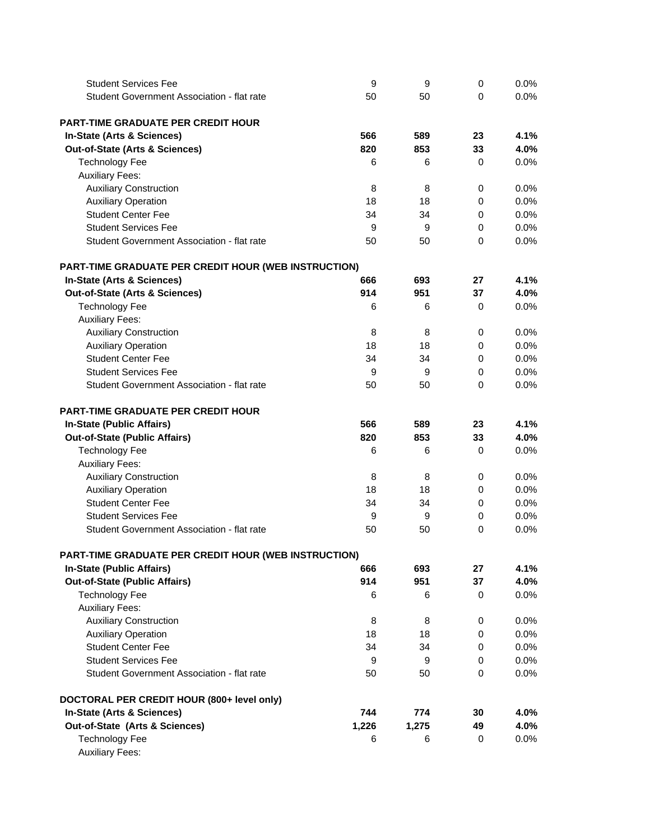| <b>Student Services Fee</b>                          | 9     | 9     | 0           | 0.0% |
|------------------------------------------------------|-------|-------|-------------|------|
| Student Government Association - flat rate           | 50    | 50    | 0           | 0.0% |
|                                                      |       |       |             |      |
| <b>PART-TIME GRADUATE PER CREDIT HOUR</b>            |       |       |             |      |
| In-State (Arts & Sciences)                           | 566   | 589   | 23          | 4.1% |
| Out-of-State (Arts & Sciences)                       | 820   | 853   | 33          | 4.0% |
| <b>Technology Fee</b>                                | 6     | 6     | 0           | 0.0% |
| <b>Auxiliary Fees:</b>                               |       |       |             |      |
| <b>Auxiliary Construction</b>                        | 8     | 8     | 0           | 0.0% |
| <b>Auxiliary Operation</b>                           | 18    | 18    | 0           | 0.0% |
| <b>Student Center Fee</b>                            | 34    | 34    | 0           | 0.0% |
| <b>Student Services Fee</b>                          | 9     | 9     | 0           | 0.0% |
| Student Government Association - flat rate           | 50    | 50    | 0           | 0.0% |
| PART-TIME GRADUATE PER CREDIT HOUR (WEB INSTRUCTION) |       |       |             |      |
| In-State (Arts & Sciences)                           | 666   | 693   | 27          | 4.1% |
| Out-of-State (Arts & Sciences)                       | 914   | 951   | 37          | 4.0% |
| <b>Technology Fee</b>                                | 6     | 6     | 0           | 0.0% |
| <b>Auxiliary Fees:</b>                               |       |       |             |      |
| <b>Auxiliary Construction</b>                        | 8     | 8     | 0           | 0.0% |
| <b>Auxiliary Operation</b>                           | 18    | 18    | 0           | 0.0% |
| <b>Student Center Fee</b>                            | 34    | 34    | 0           | 0.0% |
| <b>Student Services Fee</b>                          | 9     | 9     | 0           | 0.0% |
| Student Government Association - flat rate           | 50    | 50    | 0           | 0.0% |
| <b>PART-TIME GRADUATE PER CREDIT HOUR</b>            |       |       |             |      |
| In-State (Public Affairs)                            | 566   | 589   | 23          | 4.1% |
| <b>Out-of-State (Public Affairs)</b>                 | 820   | 853   | 33          | 4.0% |
| <b>Technology Fee</b>                                | 6     | 6     | 0           | 0.0% |
| <b>Auxiliary Fees:</b>                               |       |       |             |      |
| <b>Auxiliary Construction</b>                        | 8     | 8     | 0           | 0.0% |
| <b>Auxiliary Operation</b>                           | 18    | 18    | 0           | 0.0% |
| <b>Student Center Fee</b>                            | 34    | 34    | 0           | 0.0% |
| <b>Student Services Fee</b>                          | 9     | 9     | 0           | 0.0% |
| Student Government Association - flat rate           | 50    | 50    | $\mathbf 0$ | 0.0% |
| PART-TIME GRADUATE PER CREDIT HOUR (WEB INSTRUCTION) |       |       |             |      |
| <b>In-State (Public Affairs)</b>                     | 666   | 693   | 27          | 4.1% |
| <b>Out-of-State (Public Affairs)</b>                 | 914   | 951   | 37          | 4.0% |
| <b>Technology Fee</b>                                | 6     | 6     | 0           | 0.0% |
| <b>Auxiliary Fees:</b>                               |       |       |             |      |
| <b>Auxiliary Construction</b>                        | 8     | 8     | 0           | 0.0% |
| <b>Auxiliary Operation</b>                           | 18    | 18    | 0           | 0.0% |
| <b>Student Center Fee</b>                            | 34    | 34    | 0           | 0.0% |
| <b>Student Services Fee</b>                          | 9     | 9     | 0           | 0.0% |
| Student Government Association - flat rate           | 50    | 50    | 0           | 0.0% |
| DOCTORAL PER CREDIT HOUR (800+ level only)           |       |       |             |      |
| In-State (Arts & Sciences)                           | 744   | 774   | 30          | 4.0% |
| Out-of-State (Arts & Sciences)                       | 1,226 | 1,275 | 49          | 4.0% |
| <b>Technology Fee</b><br><b>Auxiliary Fees:</b>      | 6     | 6     | 0           | 0.0% |
|                                                      |       |       |             |      |